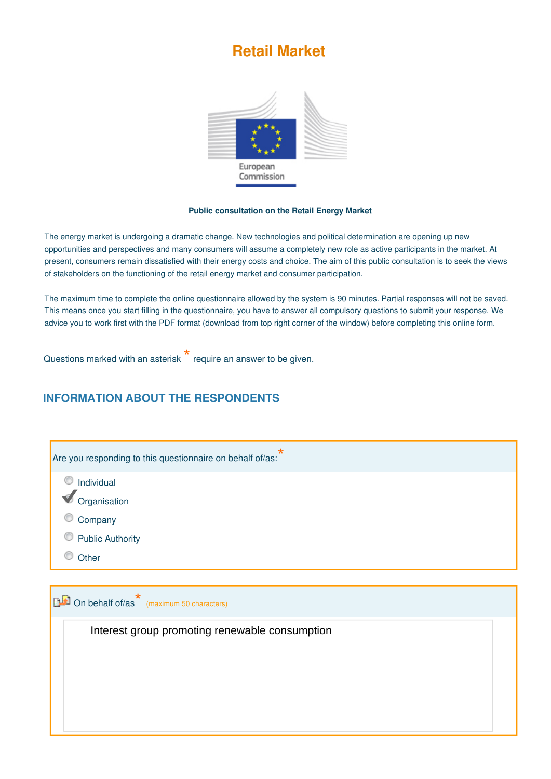# **Retail Market**



#### **Public consultation on the Retail Energy Market**

The energy market is undergoing a dramatic change. New technologies and political determination are opening up new opportunities and perspectives and many consumers will assume a completely new role as active participants in the market. At present, consumers remain dissatisfied with their energy costs and choice. The aim of this public consultation is to seek the views of stakeholders on the functioning of the retail energy market and consumer participation.

The maximum time to complete the online questionnaire allowed by the system is 90 minutes. Partial responses will not be saved. This means once you start filling in the questionnaire, you have to answer all compulsory questions to submit your response. We advice you to work first with the PDF format (download from top right corner of the window) before completing this online form.

Questions marked with an asterisk **\*** require an answer to be given.

### **INFORMATION ABOUT THE RESPONDENTS**

| *<br>Are you responding to this questionnaire on behalf of/as: |  |
|----------------------------------------------------------------|--|
| O<br>Individual                                                |  |
| Organisation                                                   |  |
| Company                                                        |  |
| <b>Public Authority</b>                                        |  |
| Other                                                          |  |
| <b>DE</b> On behalf of/as (maximum 50 characters)              |  |
| Interest group promoting renewable consumption                 |  |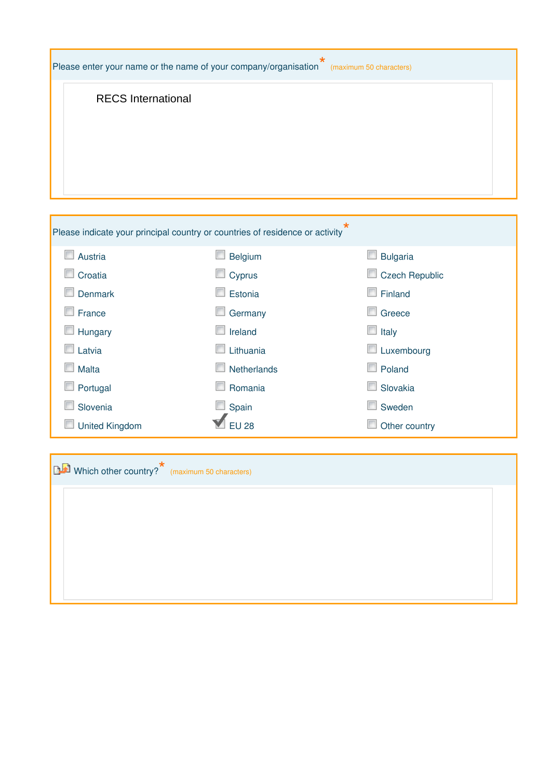| Please enter your name or the name of your company/organisation"<br>(maximum 50 characters) |                                                                              |                       |  |
|---------------------------------------------------------------------------------------------|------------------------------------------------------------------------------|-----------------------|--|
| <b>RECS International</b>                                                                   |                                                                              |                       |  |
|                                                                                             | Please indicate your principal country or countries of residence or activity | *                     |  |
| <b>Austria</b>                                                                              | <b>Belgium</b>                                                               | <b>Bulgaria</b>       |  |
| Croatia                                                                                     | Cyprus                                                                       | <b>Czech Republic</b> |  |
| <b>Denmark</b>                                                                              | Estonia                                                                      | Finland               |  |
| France                                                                                      | Germany                                                                      | Greece                |  |
| Hungary                                                                                     | Ireland                                                                      | Italy                 |  |
| Latvia                                                                                      | Lithuania                                                                    | Luxembourg            |  |
| Malta                                                                                       | Netherlands                                                                  | Poland                |  |
| Portugal                                                                                    | Romania                                                                      | Slovakia              |  |
| Slovenia                                                                                    | Spain                                                                        | Sweden                |  |
| <b>United Kingdom</b>                                                                       | <b>EU 28</b>                                                                 | Other country         |  |
| Which other country? <sup>*</sup> (maximum 50 characters)                                   |                                                                              |                       |  |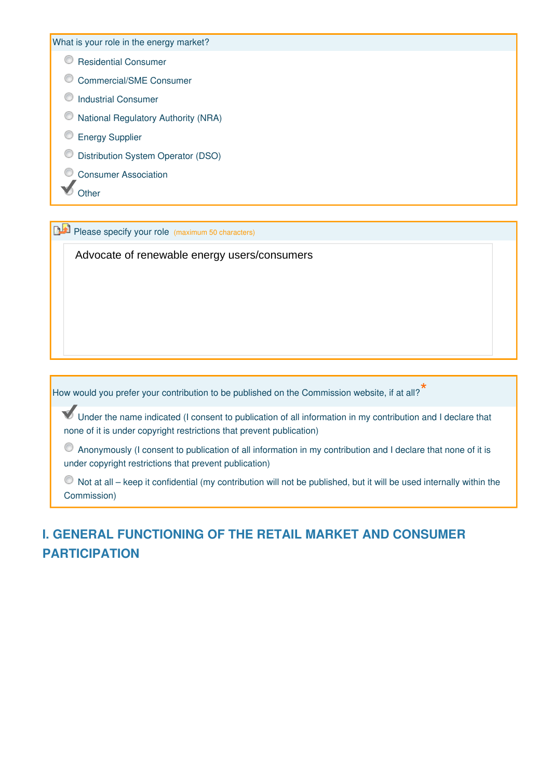What is your role in the energy market?

**C** Residential Consumer

- C Commercial/SME Consumer
- O Industrial Consumer
- National Regulatory Authority (NRA)
- **Energy Supplier**
- Distribution System Operator (DSO)
- Consumer Association
- other

**Please specify your role (maximum 50 characters)** 

Advocate of renewable energy users/consumers

How would you prefer your contribution to be published on the Commission website, if at all?

Under the name indicated (I consent to publication of all information in my contribution and I declare that none of it is under copyright restrictions that prevent publication)

Anonymously (I consent to publication of all information in my contribution and I declare that none of it is under copyright restrictions that prevent publication)

 $\bullet$  Not at all – keep it confidential (my contribution will not be published, but it will be used internally within the Commission)

# **I. GENERAL FUNCTIONING OF THE RETAIL MARKET AND CONSUMER PARTICIPATION**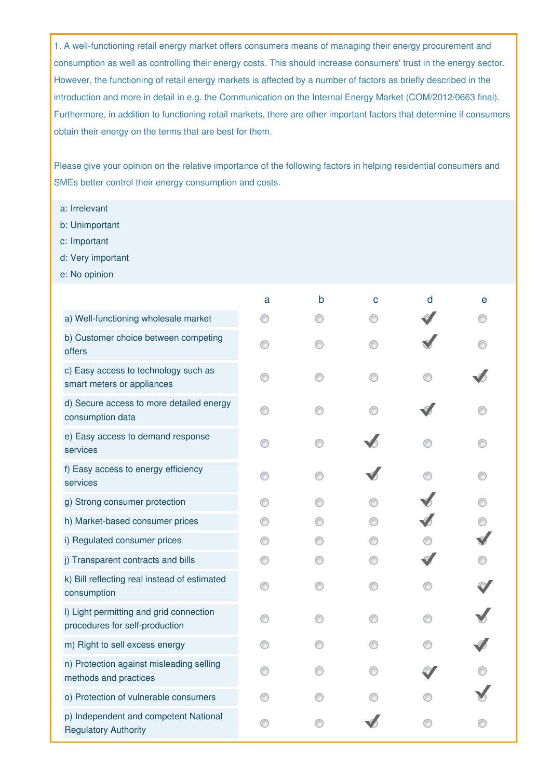1. A well-functioning retail energy market offers consumers means of managing their energy procurement and consumption as well as controlling their energy costs. This should increase consumers' trust in the energy sector. However, the functioning of retail energy markets is affected by a number of factors as briefly described in the introduction and more in detail in e.g. the Communication on the Internal Energy Market (COM/2012/0663 final). Furthermore, in addition to functioning retail markets, there are other important factors that determine if consumers obtain their energy on the terms that are best for them.

Please give your opinion on the relative importance of the following factors in helping residential consumers and SMEs better control their energy consumption and costs.

- a: Irrelevant
- b: Unimportant
- c: Important
- d: Very important
- e: No opinion

|                                                                           | a | b | C | d | е |
|---------------------------------------------------------------------------|---|---|---|---|---|
| a) Well-functioning wholesale market                                      |   |   |   |   |   |
| b) Customer choice between competing<br>offers                            |   |   |   |   |   |
| c) Easy access to technology such as<br>smart meters or appliances        |   |   |   |   |   |
| d) Secure access to more detailed energy<br>consumption data              |   |   |   |   |   |
| e) Easy access to demand response<br>services                             |   |   |   |   |   |
| f) Easy access to energy efficiency<br>services                           |   |   |   |   |   |
| g) Strong consumer protection                                             |   |   |   |   |   |
| h) Market-based consumer prices                                           |   |   |   |   |   |
| i) Regulated consumer prices                                              |   |   |   |   |   |
| j) Transparent contracts and bills                                        |   |   |   |   |   |
| k) Bill reflecting real instead of estimated<br>consumption               |   |   |   |   |   |
| I) Light permitting and grid connection<br>procedures for self-production |   |   |   |   |   |
| m) Right to sell excess energy                                            |   |   |   |   |   |
| n) Protection against misleading selling<br>methods and practices         |   |   |   |   |   |
| o) Protection of vulnerable consumers                                     |   |   |   |   |   |
| p) Independent and competent National<br><b>Regulatory Authority</b>      |   |   |   |   |   |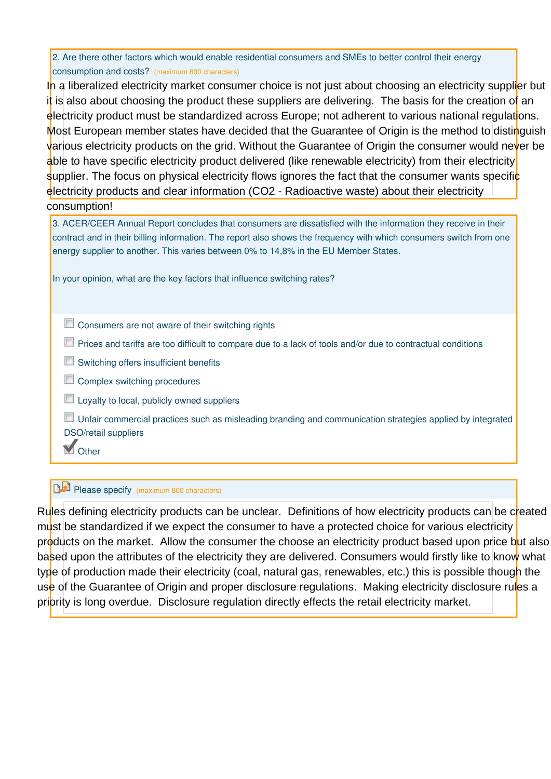|                                                 | 2. Are there other factors which would enable residential consumers and SMEs to better control their energy |
|-------------------------------------------------|-------------------------------------------------------------------------------------------------------------|
| consumption and costs? (maximum 800 characters) |                                                                                                             |

In a liberalized electricity market consumer choice is not just about choosing an electricity supplier but it is also about choosing the product these suppliers are delivering. The basis for the creation of an electricity product must be standardized across Europe; not adherent to various national regulations. Most European member states have decided that the Guarantee of Origin is the method to distinguish various electricity products on the grid. Without the Guarantee of Origin the consumer would never be able to have specific electricity product delivered (like renewable electricity) from their electricity supplier. The focus on physical electricity flows ignores the fact that the consumer wants specific electricity products and clear information (CO2 - Radioactive waste) about their electricity consumption!

| 3. ACER/CEER Annual Report concludes that consumers are dissatisfied with the information they receive in their     |
|---------------------------------------------------------------------------------------------------------------------|
| contract and in their billing information. The report also shows the frequency with which consumers switch from one |
| energy supplier to another. This varies between 0% to 14,8% in the EU Member States.                                |

In your opinion, what are the key factors that influence switching rates?

- $\Box$  Consumers are not aware of their switching rights
- Prices and tariffs are too difficult to compare due to a lack of tools and/or due to contractual conditions
- **Switching offers insufficient benefits**
- Complex switching procedures
- $\Box$  Loyalty to local, publicly owned suppliers

Unfair commercial practices such as misleading branding and communication strategies applied by integrated DSO/retail suppliers

**M** Other

### Please specify (maximum 800 characters)

Rules defining electricity products can be unclear. Definitions of how electricity products can be created must be standardized if we expect the consumer to have a protected choice for various electricity products on the market. Allow the consumer the choose an electricity product based upon price but also based upon the attributes of the electricity they are delivered. Consumers would firstly like to know what type of production made their electricity (coal, natural gas, renewables, etc.) this is possible though the use of the Guarantee of Origin and proper disclosure regulations. Making electricity disclosure rules a priority is long overdue. Disclosure regulation directly effects the retail electricity market.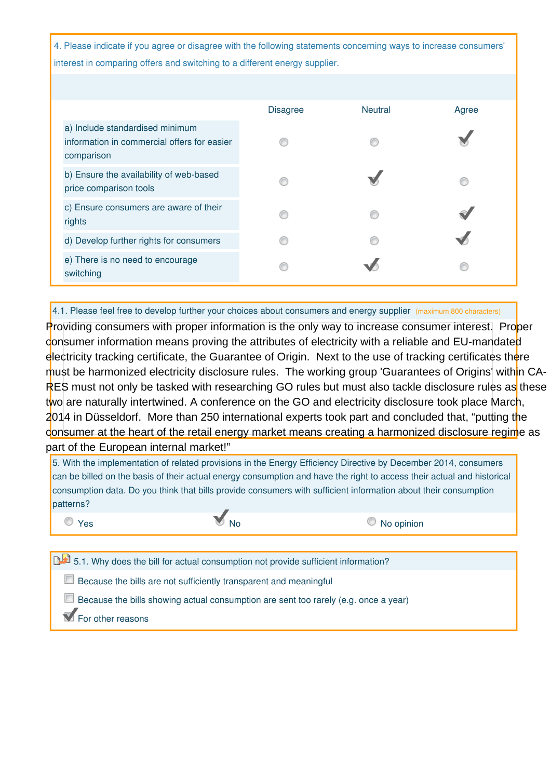4. Please indicate if you agree or disagree with the following statements concerning ways to increase consumers' interest in comparing offers and switching to a different energy supplier.

|                                                                                              | <b>Disagree</b> | <b>Neutral</b> | Agree |
|----------------------------------------------------------------------------------------------|-----------------|----------------|-------|
| a) Include standardised minimum<br>information in commercial offers for easier<br>comparison |                 |                |       |
| b) Ensure the availability of web-based<br>price comparison tools                            |                 |                |       |
| c) Ensure consumers are aware of their<br>rights                                             |                 |                |       |
| d) Develop further rights for consumers                                                      |                 |                |       |
| e) There is no need to encourage<br>switching                                                |                 |                |       |

4.1. Please feel free to develop further your choices about consumers and energy supplier (maximum 800 characters)

Providing consumers with proper information is the only way to increase consumer interest. Proper consumer information means proving the attributes of electricity with a reliable and EU-mandated electricity tracking certificate, the Guarantee of Origin. Next to the use of tracking certificates there must be harmonized electricity disclosure rules. The working group 'Guarantees of Origins' within CA-RES must not only be tasked with researching GO rules but must also tackle disclosure rules as these two are naturally intertwined. A conference on the GO and electricity disclosure took place March, 2014 in Düsseldorf. More than 250 international experts took part and concluded that, "putting the consumer at the heart of the retail energy market means creating a harmonized disclosure regime as part of the European internal market!"

5. With the implementation of related provisions in the Energy Efficiency Directive by December 2014, consumers can be billed on the basis of their actual energy consumption and have the right to access their actual and historical consumption data. Do you think that bills provide consumers with sufficient information about their consumption patterns? O Yes No No No No O No opinion

5.1. Why does the bill for actual consumption not provide sufficient information?

 $\Box$  Because the bills are not sufficiently transparent and meaningful

Because the bills showing actual consumption are sent too rarely (e.g. once a year)

**T** For other reasons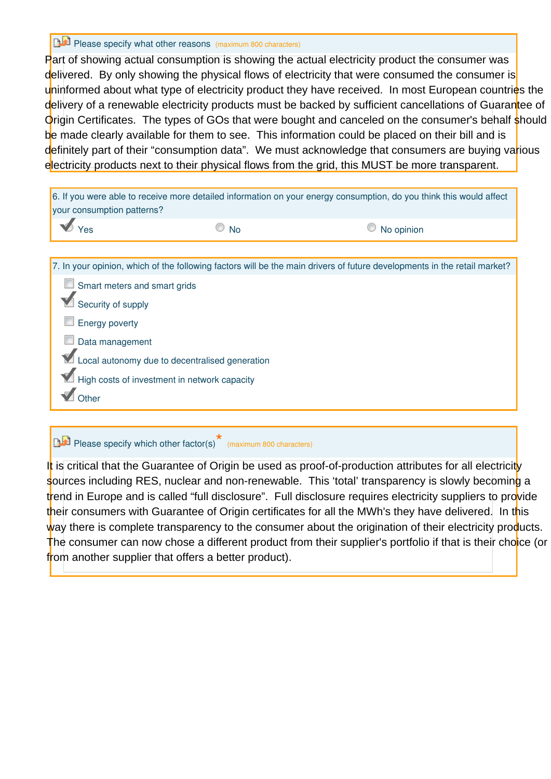Please specify what other reasons (maximum 800 characters)

Part of showing actual consumption is showing the actual electricity product the consumer was delivered. By only showing the physical flows of electricity that were consumed the consumer is uninformed about what type of electricity product they have received. In most European countries the delivery of a renewable electricity products must be backed by sufficient cancellations of Guarantee of Origin Certificates. The types of GOs that were bought and canceled on the consumer's behalf should be made clearly available for them to see. This information could be placed on their bill and is definitely part of their "consumption data". We must acknowledge that consumers are buying various electricity products next to their physical flows from the grid, this MUST be more transparent.

| your consumption patterns?          |                                                | 6. If you were able to receive more detailed information on your energy consumption, do you think this would affect      |
|-------------------------------------|------------------------------------------------|--------------------------------------------------------------------------------------------------------------------------|
|                                     | <b>No</b>                                      | No opinion                                                                                                               |
|                                     |                                                |                                                                                                                          |
|                                     |                                                | 7. In your opinion, which of the following factors will be the main drivers of future developments in the retail market? |
| $\Box$ Smart meters and smart grids |                                                |                                                                                                                          |
| Security of supply                  |                                                |                                                                                                                          |
| <b>Energy poverty</b>               |                                                |                                                                                                                          |
| Data management                     |                                                |                                                                                                                          |
|                                     | Local autonomy due to decentralised generation |                                                                                                                          |
|                                     | High costs of investment in network capacity   |                                                                                                                          |
| Other                               |                                                |                                                                                                                          |

# Please specify which other factor(s)<sup>\*</sup> (maximum 800 characters)

It is critical that the Guarantee of Origin be used as proof-of-production attributes for all electricity sources including RES, nuclear and non-renewable. This 'total' transparency is slowly becoming a trend in Europe and is called "full disclosure". Full disclosure requires electricity suppliers to provide their consumers with Guarantee of Origin certificates for all the MWh's they have delivered. In this way there is complete transparency to the consumer about the origination of their electricity products. The consumer can now chose a different product from their supplier's portfolio if that is their choice (or from another supplier that offers a better product).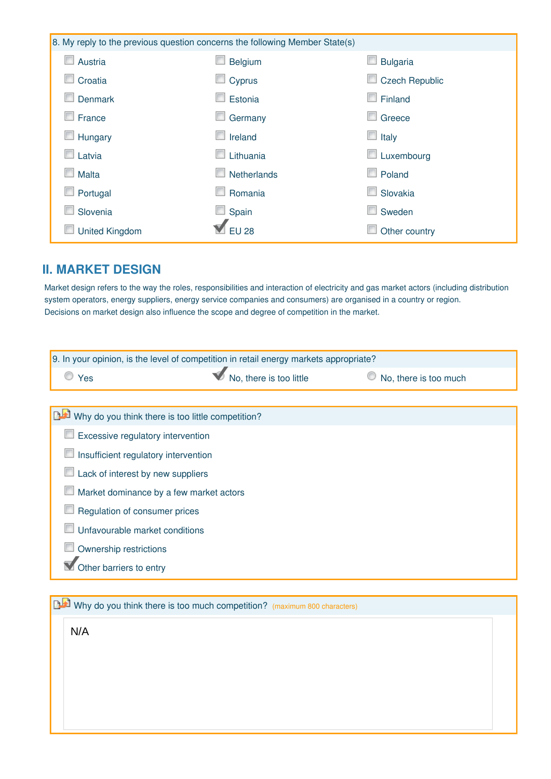|                       | 8. My reply to the previous question concerns the following Member State(s) |                                 |
|-----------------------|-----------------------------------------------------------------------------|---------------------------------|
| Austria<br>ш          | Belgium                                                                     | <b>Bulgaria</b>                 |
| Croatia               | Cyprus                                                                      | <b>Czech Republic</b><br>$\Box$ |
| <b>Denmark</b>        | Estonia                                                                     | Finland<br><b>In</b>            |
| France                | Germany                                                                     | Greece<br>E                     |
| Hungary               | Ireland                                                                     | $\Box$ Italy                    |
| Latvia                | Lithuania                                                                   | $\Box$ Luxembourg               |
| Malta                 | Netherlands                                                                 | $\Box$ Poland                   |
| Portugal              | Romania                                                                     | Slovakia                        |
| Slovenia              | Spain                                                                       | г<br>Sweden                     |
| <b>United Kingdom</b> | <b>EU 28</b>                                                                | Other country                   |

## **II. MARKET DESIGN**

Market design refers to the way the roles, responsibilities and interaction of electricity and gas market actors (including distribution system operators, energy suppliers, energy service companies and consumers) are organised in a country or region. Decisions on market design also influence the scope and degree of competition in the market.

| 9. In your opinion, is the level of competition in retail energy markets appropriate? |                         |                       |
|---------------------------------------------------------------------------------------|-------------------------|-----------------------|
| C Yes                                                                                 | No, there is too little | No, there is too much |
|                                                                                       |                         |                       |
| Why do you think there is too little competition?                                     |                         |                       |
| Excessive regulatory intervention                                                     |                         |                       |
| Insufficient regulatory intervention                                                  |                         |                       |
| Lack of interest by new suppliers                                                     |                         |                       |
| Market dominance by a few market actors                                               |                         |                       |
| Regulation of consumer prices                                                         |                         |                       |
| Unfavourable market conditions                                                        |                         |                       |
| Ownership restrictions                                                                |                         |                       |
| Other barriers to entry                                                               |                         |                       |
|                                                                                       |                         |                       |

Why do you think there is too much competition? (maximum 800 characters) N/A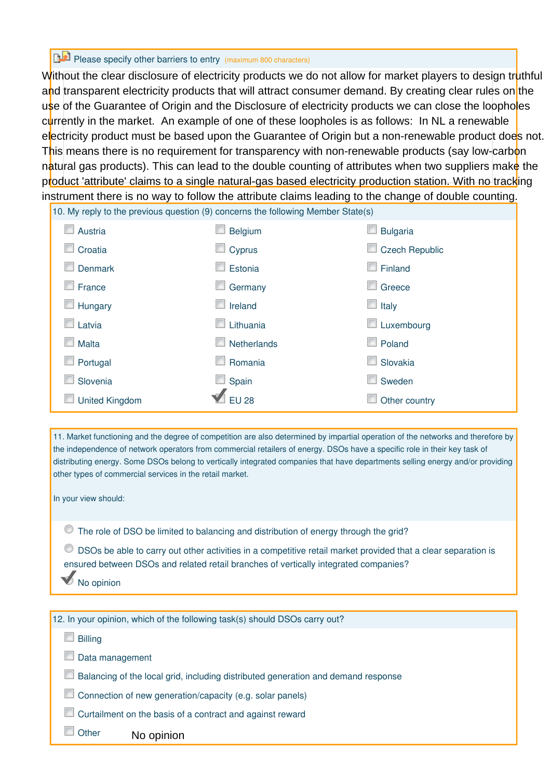# Please specify other barriers to entry (maximum 800 characters)

 $\frac{10. \text{My rank to the previous question (0) response the following Mombor  $Stato(s)$$ Without the clear disclosure of electricity products we do not allow for market players to design truthful and transparent electricity products that will attract consumer demand. By creating clear rules on the use of the Guarantee of Origin and the Disclosure of electricity products we can close the loopholes currently in the market. An example of one of these loopholes is as follows: In NL a renewable electricity product must be based upon the Guarantee of Origin but a non-renewable product does not. This means there is no requirement for transparency with non-renewable products (say low-carbon natural gas products). This can lead to the double counting of attributes when two suppliers make the product 'attribute' claims to a single natural-gas based electricity production station. With no tracking instrument there is no way to follow the attribute claims leading to the change of double counting.

|                                         | 10. My reply to the previous question (9) concerns the ionowing internoer state(s) |                   |
|-----------------------------------------|------------------------------------------------------------------------------------|-------------------|
| Austria                                 | <b>Belgium</b>                                                                     | <b>Bulgaria</b>   |
| Croatia                                 | Cyprus                                                                             | Czech Republic    |
| <b>Denmark</b>                          | Estonia                                                                            | Finland           |
| $\Box$ France                           | Germany                                                                            | Greece<br>r       |
| $\Box$ Hungary                          | Ireland                                                                            | $\Box$ Italy      |
| $\Box$ Latvia                           | Lithuania                                                                          | $\Box$ Luxembourg |
| Malta                                   | Netherlands                                                                        | ш<br>Poland       |
| Portugal<br>$\mathcal{L}_{\mathcal{A}}$ | Romania                                                                            | Slovakia<br>m     |
| Slovenia                                | $\Box$ Spain                                                                       | Sweden            |
| <b>United Kingdom</b>                   | <b>EU 28</b>                                                                       | Other country     |

11. Market functioning and the degree of competition are also determined by impartial operation of the networks and therefore by the independence of network operators from commercial retailers of energy. DSOs have a specific role in their key task of distributing energy. Some DSOs belong to vertically integrated companies that have departments selling energy and/or providing other types of commercial services in the retail market.

In your view should:

The role of DSO be limited to balancing and distribution of energy through the grid?

DSOs be able to carry out other activities in a competitive retail market provided that a clear separation is ensured between DSOs and related retail branches of vertically integrated companies?

No opinion

| 12. In your opinion, which of the following task(s) should DSOs carry out?             |
|----------------------------------------------------------------------------------------|
| <b>Billing</b>                                                                         |
| Data management                                                                        |
| U<br>Balancing of the local grid, including distributed generation and demand response |
| Connection of new generation/capacity (e.g. solar panels)<br>m                         |
| Curtailment on the basis of a contract and against reward                              |
| Other<br>No opinion                                                                    |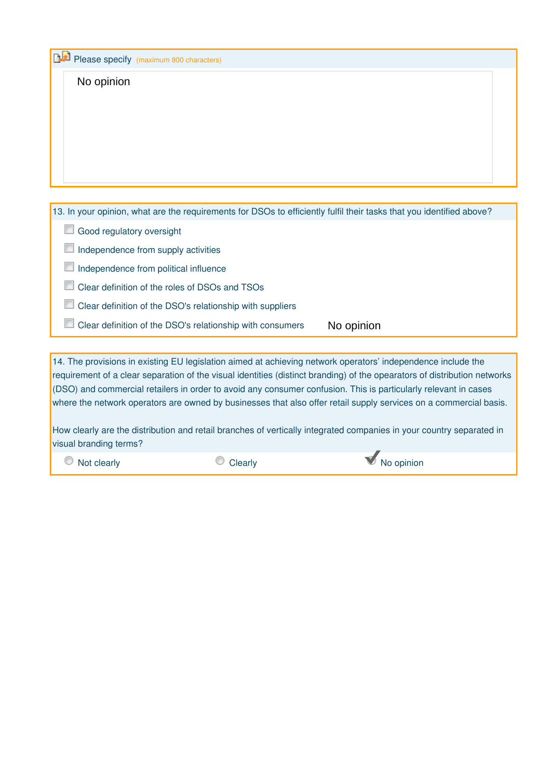| Please specify (maximum 800 characters)                                                                                                                                                                                                                                                                                                                                                                                                                                                                                                                                                                   |
|-----------------------------------------------------------------------------------------------------------------------------------------------------------------------------------------------------------------------------------------------------------------------------------------------------------------------------------------------------------------------------------------------------------------------------------------------------------------------------------------------------------------------------------------------------------------------------------------------------------|
| No opinion                                                                                                                                                                                                                                                                                                                                                                                                                                                                                                                                                                                                |
| 13. In your opinion, what are the requirements for DSOs to efficiently fulfil their tasks that you identified above?                                                                                                                                                                                                                                                                                                                                                                                                                                                                                      |
| Good regulatory oversight                                                                                                                                                                                                                                                                                                                                                                                                                                                                                                                                                                                 |
| Independence from supply activities                                                                                                                                                                                                                                                                                                                                                                                                                                                                                                                                                                       |
| Independence from political influence                                                                                                                                                                                                                                                                                                                                                                                                                                                                                                                                                                     |
| Clear definition of the roles of DSOs and TSOs                                                                                                                                                                                                                                                                                                                                                                                                                                                                                                                                                            |
| Clear definition of the DSO's relationship with suppliers                                                                                                                                                                                                                                                                                                                                                                                                                                                                                                                                                 |
| Clear definition of the DSO's relationship with consumers<br>No opinion                                                                                                                                                                                                                                                                                                                                                                                                                                                                                                                                   |
|                                                                                                                                                                                                                                                                                                                                                                                                                                                                                                                                                                                                           |
| 14. The provisions in existing EU legislation aimed at achieving network operators' independence include the<br>requirement of a clear separation of the visual identities (distinct branding) of the opearators of distribution networks<br>(DSO) and commercial retailers in order to avoid any consumer confusion. This is particularly relevant in cases<br>where the network operators are owned by businesses that also offer retail supply services on a commercial basis.<br>How clearly are the distribution and retail branches of vertically integrated companies in your country separated in |

visual branding terms?

**O** Not clearly **C** Clearly **C** Clearly **C** No opinion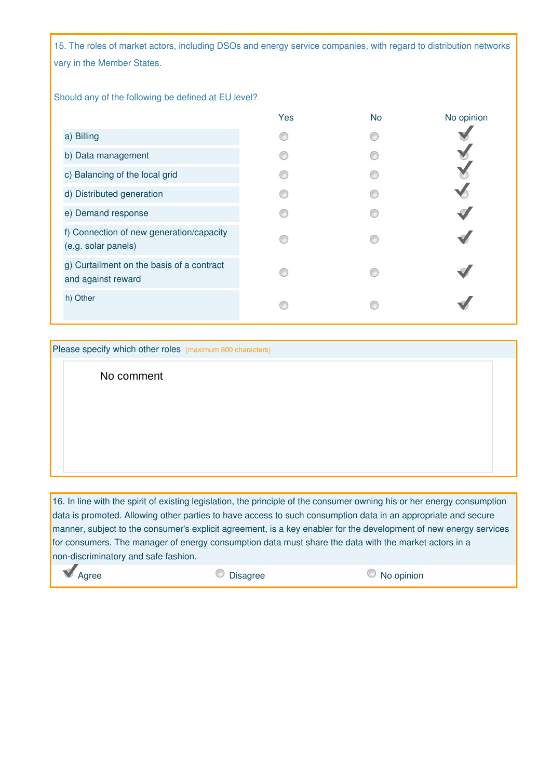15. The roles of market actors, including DSOs and energy service companies, with regard to distribution networks vary in the Member States.

#### Should any of the following be defined at EU level?

|                                                                 | Yes | <b>No</b> | No opinion |
|-----------------------------------------------------------------|-----|-----------|------------|
| a) Billing                                                      |     |           |            |
| b) Data management                                              |     |           |            |
| c) Balancing of the local grid                                  |     |           |            |
| d) Distributed generation                                       |     |           |            |
| e) Demand response                                              |     |           |            |
| f) Connection of new generation/capacity<br>(e.g. solar panels) |     |           |            |
| g) Curtailment on the basis of a contract<br>and against reward |     |           |            |
| h) Other                                                        |     |           |            |

Please specify which other roles (maximum 800 characters)

No comment

16. In line with the spirit of existing legislation, the principle of the consumer owning his or her energy consumption data is promoted. Allowing other parties to have access to such consumption data in an appropriate and secure manner, subject to the consumer's explicit agreement, is a key enabler for the development of new energy services for consumers. The manager of energy consumption data must share the data with the market actors in a non-discriminatory and safe fashion.

**Agree** 20 Disagree 20 Disagree 20 No opinion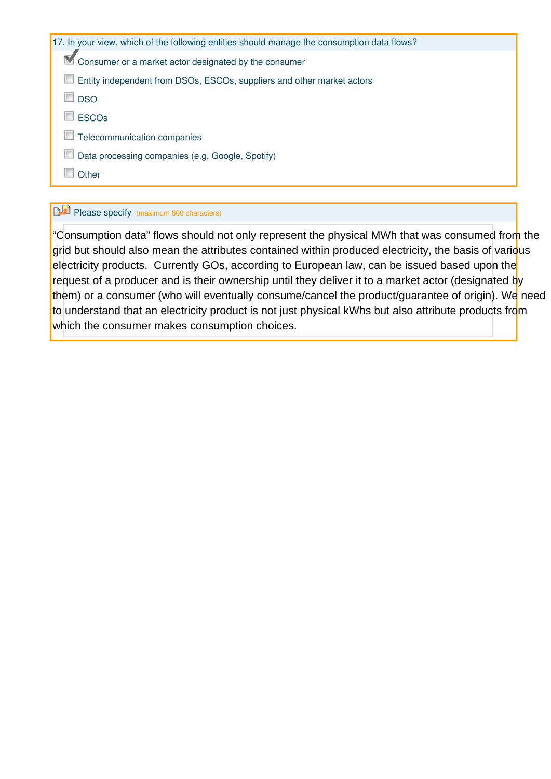| 17. In your view, which of the following entities should manage the consumption data flows? |
|---------------------------------------------------------------------------------------------|
| $\blacksquare$ Consumer or a market actor designated by the consumer                        |
| Entity independent from DSOs, ESCOs, suppliers and other market actors                      |
| <b>DSO</b>                                                                                  |
| <b>ESCOs</b>                                                                                |
| Telecommunication companies                                                                 |
| Data processing companies (e.g. Google, Spotify)                                            |
| Other                                                                                       |
|                                                                                             |

# Please specify (maximum 800 characters)

"Consumption data" flows should not only represent the physical MWh that was consumed from the grid but should also mean the attributes contained within produced electricity, the basis of various electricity products. Currently GOs, according to European law, can be issued based upon the request of a producer and is their ownership until they deliver it to a market actor (designated by them) or a consumer (who will eventually consume/cancel the product/guarantee of origin). We need to understand that an electricity product is not just physical kWhs but also attribute products from which the consumer makes consumption choices.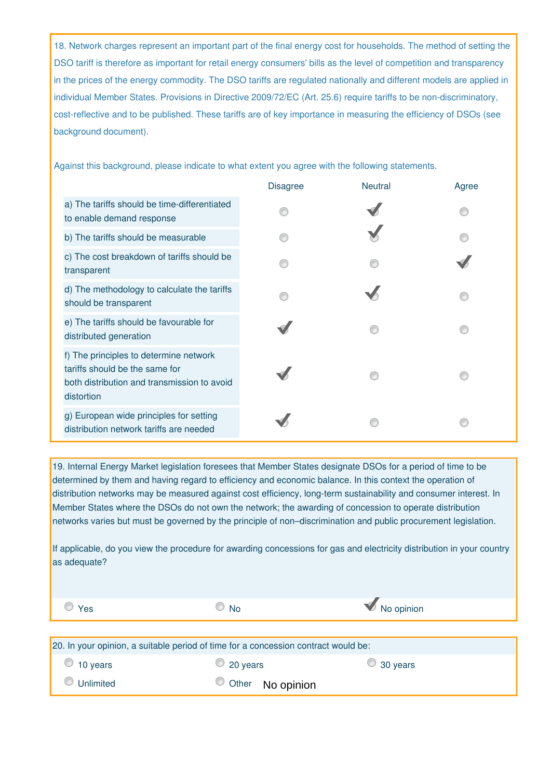18. Network charges represent an important part of the final energy cost for households. The method of setting the DSO tariff is therefore as important for retail energy consumers' bills as the level of competition and transparency in the prices of the energy commodity. The DSO tariffs are regulated nationally and different models are applied in individual Member States. Provisions in Directive 2009/72/EC (Art. 25.6) require tariffs to be non-discriminatory, cost-reflective and to be published. These tariffs are of key importance in measuring the efficiency of DSOs (see background document).

Against this background, please indicate to what extent you agree with the following statements.

|                                                                                                                                       | <b>Disagree</b> | <b>Neutral</b> | Agree |
|---------------------------------------------------------------------------------------------------------------------------------------|-----------------|----------------|-------|
| a) The tariffs should be time-differentiated<br>to enable demand response                                                             |                 |                |       |
| b) The tariffs should be measurable                                                                                                   |                 |                |       |
| c) The cost breakdown of tariffs should be<br>transparent                                                                             |                 |                |       |
| d) The methodology to calculate the tariffs<br>should be transparent                                                                  |                 |                |       |
| e) The tariffs should be favourable for<br>distributed generation                                                                     |                 |                |       |
| f) The principles to determine network<br>tariffs should be the same for<br>both distribution and transmission to avoid<br>distortion |                 |                |       |
| g) European wide principles for setting<br>distribution network tariffs are needed                                                    |                 |                |       |

19. Internal Energy Market legislation foresees that Member States designate DSOs for a period of time to be determined by them and having regard to efficiency and economic balance. In this context the operation of distribution networks may be measured against cost efficiency, long-term sustainability and consumer interest. In Member States where the DSOs do not own the network; the awarding of concession to operate distribution networks varies but must be governed by the principle of non–discrimination and public procurement legislation.

If applicable, do you view the procedure for awarding concessions for gas and electricity distribution in your country as adequate?

| Yes           | <b>No</b>                                                                          | No opinion       |
|---------------|------------------------------------------------------------------------------------|------------------|
|               | 20. In your opinion, a suitable period of time for a concession contract would be: |                  |
| 10 years<br>v | 20 years<br>$\circledcirc$                                                         | $\circ$ 30 years |
| Unlimited     | Other<br>No opinion                                                                |                  |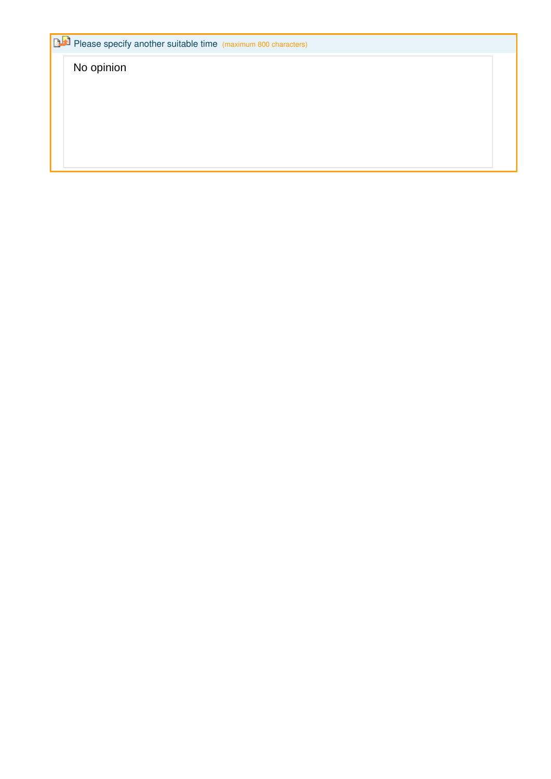Please specify another suitable time (maximum 800 characters)

No opinion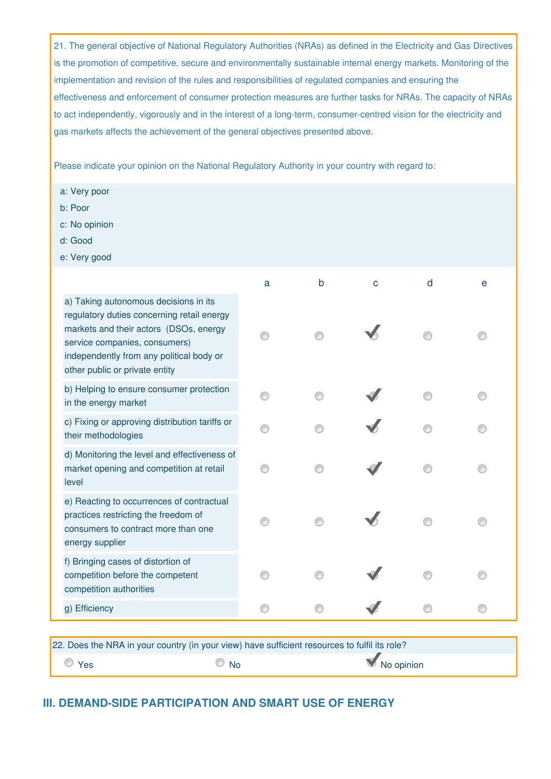21. The general objective of National Regulatory Authorities (NRAs) as defined in the Electricity and Gas Directives is the promotion of competitive, secure and environmentally sustainable internal energy markets. Monitoring of the implementation and revision of the rules and responsibilities of regulated companies and ensuring the effectiveness and enforcement of consumer protection measures are further tasks for NRAs. The capacity of NRAs to act independently, vigorously and in the interest of a long-term, consumer-centred vision for the electricity and gas markets affects the achievement of the general objectives presented above.

Please indicate your opinion on the National Regulatory Authority in your country with regard to:

- a: Very poor
- b: Poor
- c: No opinion
- d: Good
- e: Very good

|                                                                                                                                                                                                                                              | a | b | $\mathbf C$ | d | е |
|----------------------------------------------------------------------------------------------------------------------------------------------------------------------------------------------------------------------------------------------|---|---|-------------|---|---|
| a) Taking autonomous decisions in its<br>regulatory duties concerning retail energy<br>markets and their actors (DSOs, energy<br>service companies, consumers)<br>independently from any political body or<br>other public or private entity |   |   |             |   |   |
| b) Helping to ensure consumer protection<br>in the energy market                                                                                                                                                                             |   |   |             |   |   |
| c) Fixing or approving distribution tariffs or<br>their methodologies                                                                                                                                                                        |   |   |             |   |   |
| d) Monitoring the level and effectiveness of<br>market opening and competition at retail<br>level                                                                                                                                            |   |   |             |   |   |
| e) Reacting to occurrences of contractual<br>practices restricting the freedom of<br>consumers to contract more than one<br>energy supplier                                                                                                  |   |   |             |   |   |
| f) Bringing cases of distortion of<br>competition before the competent<br>competition authorities                                                                                                                                            |   |   |             |   |   |
| g) Efficiency                                                                                                                                                                                                                                |   |   |             |   |   |

| 22. Does the NRA in your country (in your view) have sufficient resources to fulfil its role? |               |            |  |  |
|-----------------------------------------------------------------------------------------------|---------------|------------|--|--|
| $\overline{\phantom{a}}$ Yes                                                                  | $\bigcirc$ No | No opinion |  |  |

### **III. DEMAND-SIDE PARTICIPATION AND SMART USE OF ENERGY**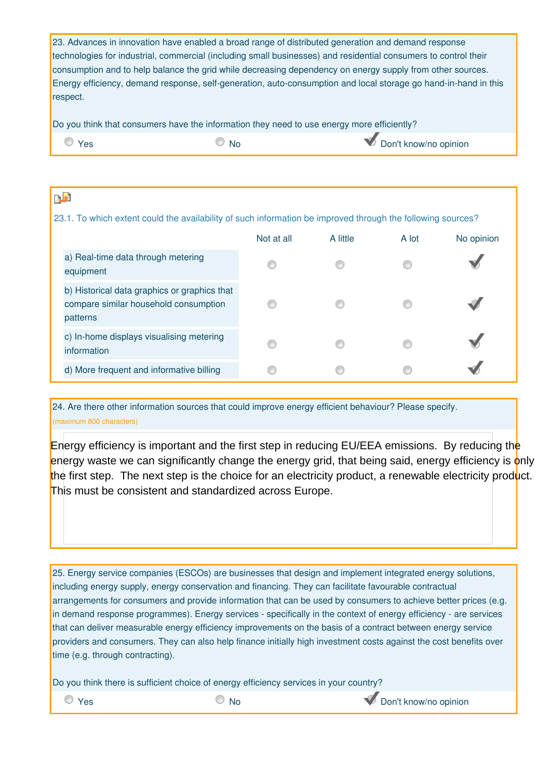23. Advances in innovation have enabled a broad range of distributed generation and demand response technologies for industrial, commercial (including small businesses) and residential consumers to control their consumption and to help balance the grid while decreasing dependency on energy supply from other sources. Energy efficiency, demand response, self-generation, auto-consumption and local storage go hand-in-hand in this respect.

Do you think that consumers have the information they need to use energy more efficiently?

| 'es | IΝC | Don't know/no opinion |
|-----|-----|-----------------------|
|     |     |                       |

| n.a                                                                                                         |            |          |       |            |
|-------------------------------------------------------------------------------------------------------------|------------|----------|-------|------------|
| 23.1. To which extent could the availability of such information be improved through the following sources? |            |          |       |            |
|                                                                                                             | Not at all | A little | A lot | No opinion |
| a) Real-time data through metering<br>equipment                                                             |            | m        |       |            |
| b) Historical data graphics or graphics that<br>compare similar household consumption<br>patterns           |            |          |       |            |
| c) In-home displays visualising metering<br>information                                                     |            |          |       |            |
| d) More frequent and informative billing                                                                    |            |          |       |            |

24. Are there other information sources that could improve energy efficient behaviour? Please specify. (maximum 800 characters)

Energy efficiency is important and the first step in reducing EU/EEA emissions. By reducing the energy waste we can significantly change the energy grid, that being said, energy efficiency is only the first step. The next step is the choice for an electricity product, a renewable electricity product. This must be consistent and standardized across Europe.

25. Energy service companies (ESCOs) are businesses that design and implement integrated energy solutions, including energy supply, energy conservation and financing. They can facilitate favourable contractual arrangements for consumers and provide information that can be used by consumers to achieve better prices (e.g. in demand response programmes). Energy services - specifically in the context of energy efficiency - are services that can deliver measurable energy efficiency improvements on the basis of a contract between energy service providers and consumers. They can also help finance initially high investment costs against the cost benefits over time (e.g. through contracting).

Do you think there is sufficient choice of energy efficiency services in your country?

 $\circledcirc$  Yes  $\circledcirc$  No  $\circledcirc$  No  $\circledcirc$  Don't know/no opinion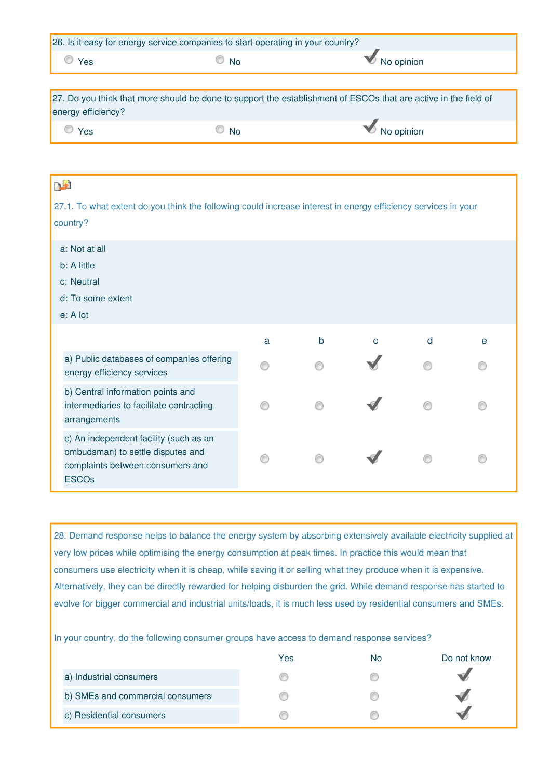| 26. Is it easy for energy service companies to start operating in your country? |  |  |  |  |  |
|---------------------------------------------------------------------------------|--|--|--|--|--|
| No opinion<br><b>No</b><br>Yes                                                  |  |  |  |  |  |
|                                                                                 |  |  |  |  |  |

| 27. Do you think that more should be done to support the establishment of ESCOs that are active in the field of |               |            |  |  |
|-----------------------------------------------------------------------------------------------------------------|---------------|------------|--|--|
| energy efficiency?                                                                                              |               |            |  |  |
| $\circ$ Yes                                                                                                     | $\bigcirc$ No | No opinion |  |  |

| <b>DA</b>     |                                                                                                                 |   |              |   |   |   |
|---------------|-----------------------------------------------------------------------------------------------------------------|---|--------------|---|---|---|
|               | 27.1. To what extent do you think the following could increase interest in energy efficiency services in your   |   |              |   |   |   |
| country?      |                                                                                                                 |   |              |   |   |   |
| a: Not at all |                                                                                                                 |   |              |   |   |   |
| b: A little   |                                                                                                                 |   |              |   |   |   |
| c: Neutral    |                                                                                                                 |   |              |   |   |   |
|               | d: To some extent                                                                                               |   |              |   |   |   |
| e: A lot      |                                                                                                                 |   |              |   |   |   |
|               |                                                                                                                 | a | $\mathsf{b}$ | Ć | d | e |
|               | a) Public databases of companies offering<br>energy efficiency services                                         |   |              |   |   |   |
|               | b) Central information points and<br>intermediaries to facilitate contracting<br>arrangements                   |   |              |   |   |   |
| <b>ESCOs</b>  | c) An independent facility (such as an<br>ombudsman) to settle disputes and<br>complaints between consumers and |   |              |   |   |   |

28. Demand response helps to balance the energy system by absorbing extensively available electricity supplied at very low prices while optimising the energy consumption at peak times. In practice this would mean that consumers use electricity when it is cheap, while saving it or selling what they produce when it is expensive. Alternatively, they can be directly rewarded for helping disburden the grid. While demand response has started to evolve for bigger commercial and industrial units/loads, it is much less used by residential consumers and SMEs.

In your country, do the following consumer groups have access to demand response services?

|                                  | Yes | No | Do not know |
|----------------------------------|-----|----|-------------|
| a) Industrial consumers          |     |    |             |
| b) SMEs and commercial consumers |     |    |             |
| c) Residential consumers         |     |    |             |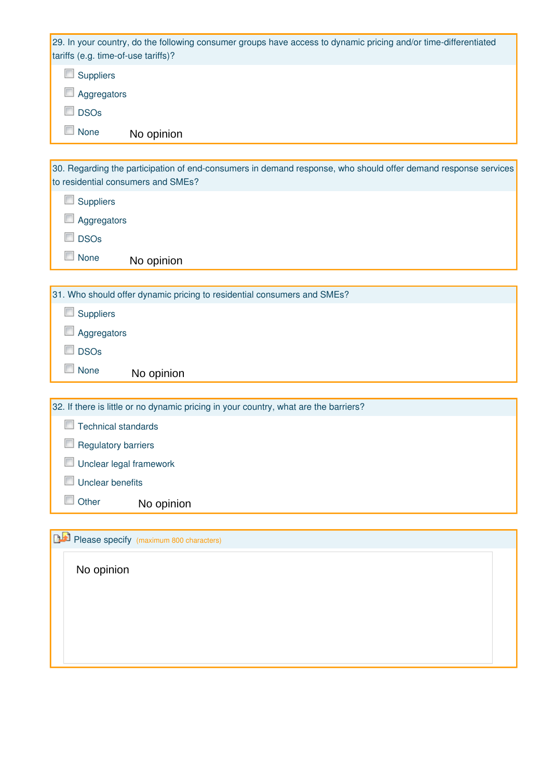29. In your country, do the following consumer groups have access to dynamic pricing and/or time-differentiated tariffs (e.g. time-of-use tariffs)?

Suppliers

**Aggregators** 

**DSOs** 

**None** No opinion

| 30. Regarding the participation of end-consumers in demand response, who should offer demand response services<br>to residential consumers and SMEs? |
|------------------------------------------------------------------------------------------------------------------------------------------------------|
| <b>Suppliers</b>                                                                                                                                     |
| Aggregators                                                                                                                                          |
| <b>DSOs</b>                                                                                                                                          |
| None<br>No opinion                                                                                                                                   |
|                                                                                                                                                      |
| 31. Who should offer dynamic pricing to residential consumers and SMEs?                                                                              |
| Suppliers                                                                                                                                            |
| Aggregators                                                                                                                                          |
| <b>DSOs</b>                                                                                                                                          |
| $\overline{\phantom{a}}$<br>None<br>No opinion                                                                                                       |
|                                                                                                                                                      |
| 32. If there is little or no dynamic pricing in your country, what are the barriers?                                                                 |
| <b>Technical standards</b>                                                                                                                           |
| <b>Regulatory barriers</b>                                                                                                                           |
|                                                                                                                                                      |

**Unclear legal framework** 

**Unclear benefits** 

**Other** No opinion

**Please specify** (maximum 800 characters)

No opinion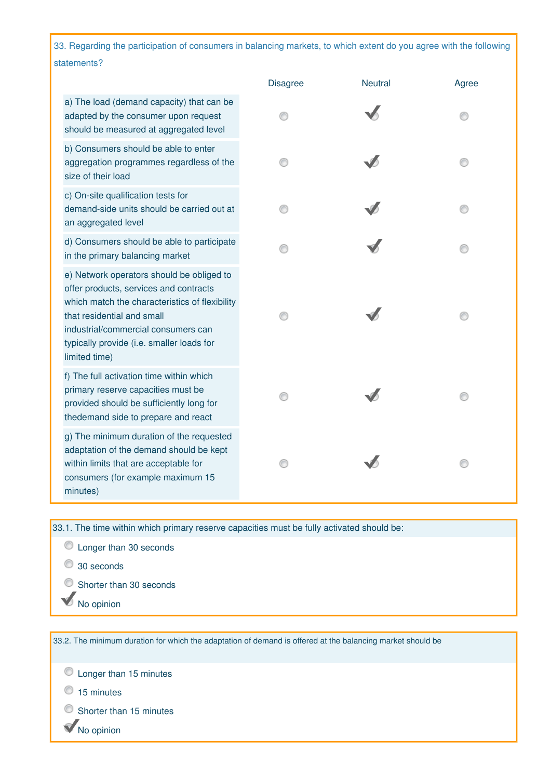33. Regarding the participation of consumers in balancing markets, to which extent do you agree with the following statements?

|                                                                                                                                                                                                                                                                          | <b>Disagree</b> | <b>Neutral</b> | Agree |
|--------------------------------------------------------------------------------------------------------------------------------------------------------------------------------------------------------------------------------------------------------------------------|-----------------|----------------|-------|
| a) The load (demand capacity) that can be<br>adapted by the consumer upon request<br>should be measured at aggregated level                                                                                                                                              |                 |                |       |
| b) Consumers should be able to enter<br>aggregation programmes regardless of the<br>size of their load                                                                                                                                                                   |                 |                |       |
| c) On-site qualification tests for<br>demand-side units should be carried out at<br>an aggregated level                                                                                                                                                                  |                 |                |       |
| d) Consumers should be able to participate<br>in the primary balancing market                                                                                                                                                                                            |                 |                |       |
| e) Network operators should be obliged to<br>offer products, services and contracts<br>which match the characteristics of flexibility<br>that residential and small<br>industrial/commercial consumers can<br>typically provide (i.e. smaller loads for<br>limited time) |                 |                |       |
| f) The full activation time within which<br>primary reserve capacities must be<br>provided should be sufficiently long for<br>thedemand side to prepare and react                                                                                                        |                 |                |       |
| g) The minimum duration of the requested<br>adaptation of the demand should be kept<br>within limits that are acceptable for<br>consumers (for example maximum 15<br>minutes)                                                                                            |                 |                | ∩     |

33.1. The time within which primary reserve capacities must be fully activated should be:

- C Longer than 30 seconds
- 30 seconds
- Shorter than 30 seconds
- No opinion

33.2. The minimum duration for which the adaptation of demand is offered at the balancing market should be

 $\bullet$  Longer than 15 minutes

- <sup>15</sup> minutes
- Shorter than 15 minutes
- No opinion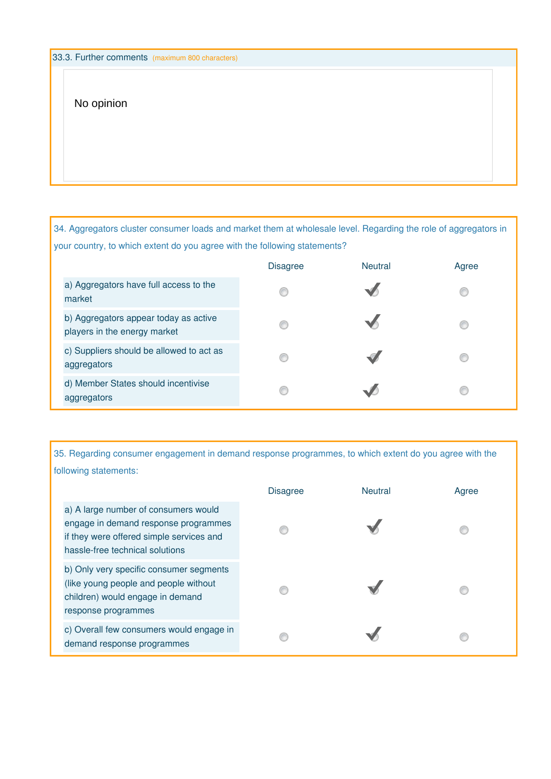### No opinion

34. Aggregators cluster consumer loads and market them at wholesale level. Regarding the role of aggregators in your country, to which extent do you agree with the following statements?

|                                                                       | <b>Disagree</b> | <b>Neutral</b> | Agree |
|-----------------------------------------------------------------------|-----------------|----------------|-------|
| a) Aggregators have full access to the<br>market                      |                 |                |       |
| b) Aggregators appear today as active<br>players in the energy market |                 |                |       |
| c) Suppliers should be allowed to act as<br>aggregators               |                 |                |       |
| d) Member States should incentivise<br>aggregators                    |                 |                |       |

35. Regarding consumer engagement in demand response programmes, to which extent do you agree with the following statements:

|                                                                                                                                                             | <b>Disagree</b> | <b>Neutral</b> | Agree |
|-------------------------------------------------------------------------------------------------------------------------------------------------------------|-----------------|----------------|-------|
| a) A large number of consumers would<br>engage in demand response programmes<br>if they were offered simple services and<br>hassle-free technical solutions |                 |                |       |
| b) Only very specific consumer segments<br>(like young people and people without<br>children) would engage in demand<br>response programmes                 |                 |                |       |
| c) Overall few consumers would engage in<br>demand response programmes                                                                                      |                 |                |       |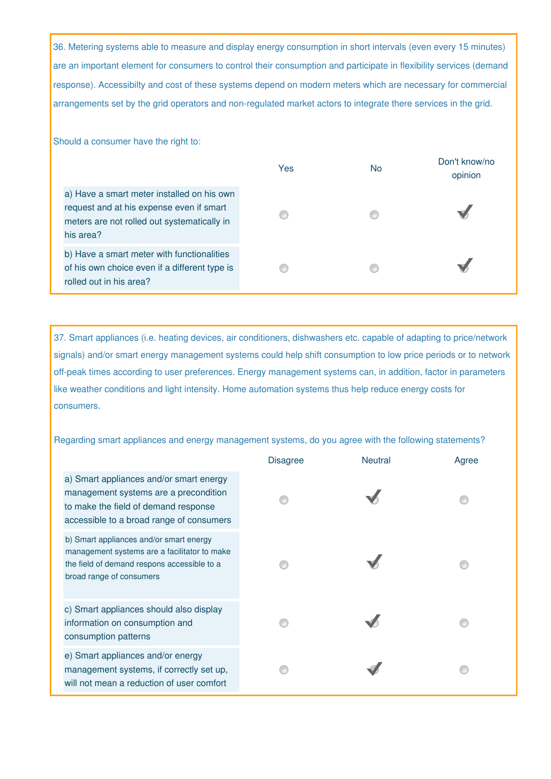36. Metering systems able to measure and display energy consumption in short intervals (even every 15 minutes) are an important element for consumers to control their consumption and participate in flexibility services (demand response). Accessibilty and cost of these systems depend on modern meters which are necessary for commercial arrangements set by the grid operators and non-regulated market actors to integrate there services in the grid.

Should a consumer have the right to:

|                                                                                                                                                    | Yes | <b>No</b> | Don't know/no<br>opinion |
|----------------------------------------------------------------------------------------------------------------------------------------------------|-----|-----------|--------------------------|
| a) Have a smart meter installed on his own<br>request and at his expense even if smart<br>meters are not rolled out systematically in<br>his area? |     |           |                          |
| b) Have a smart meter with functionalities<br>of his own choice even if a different type is<br>rolled out in his area?                             |     |           |                          |

37. Smart appliances (i.e. heating devices, air conditioners, dishwashers etc. capable of adapting to price/network signals) and/or smart energy management systems could help shift consumption to low price periods or to network off-peak times according to user preferences. Energy management systems can, in addition, factor in parameters like weather conditions and light intensity. Home automation systems thus help reduce energy costs for consumers.

Regarding smart appliances and energy management systems, do you agree with the following statements?

|                                                                                                                                                                      | <b>Disagree</b> | <b>Neutral</b> | Agree |
|----------------------------------------------------------------------------------------------------------------------------------------------------------------------|-----------------|----------------|-------|
| a) Smart appliances and/or smart energy<br>management systems are a precondition<br>to make the field of demand response<br>accessible to a broad range of consumers |                 |                |       |
| b) Smart appliances and/or smart energy<br>management systems are a facilitator to make<br>the field of demand respons accessible to a<br>broad range of consumers   |                 |                |       |
| c) Smart appliances should also display<br>information on consumption and<br>consumption patterns                                                                    |                 |                |       |
| e) Smart appliances and/or energy<br>management systems, if correctly set up,<br>will not mean a reduction of user comfort                                           |                 |                |       |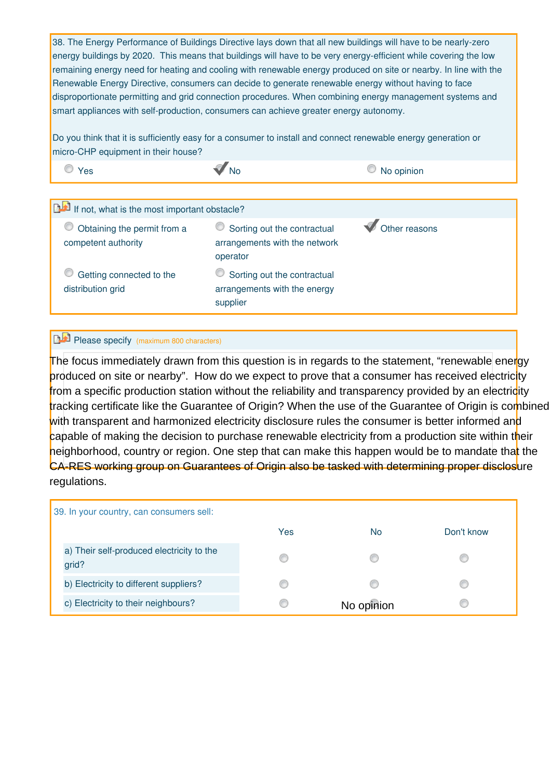38. The Energy Performance of Buildings Directive lays down that all new buildings will have to be nearly-zero energy buildings by 2020. This means that buildings will have to be very energy-efficient while covering the low remaining energy need for heating and cooling with renewable energy produced on site or nearby. In line with the Renewable Energy Directive, consumers can decide to generate renewable energy without having to face disproportionate permitting and grid connection procedures. When combining energy management systems and smart appliances with self-production, consumers can achieve greater energy autonomy.

Do you think that it is sufficiently easy for a consumer to install and connect renewable energy generation or micro-CHP equipment in their house?

 $\bullet$  Yes  $\bullet$  No  $\bullet$  No  $\bullet$  No opinion

| If not, what is the most important obstacle?       |                                                                          |               |
|----------------------------------------------------|--------------------------------------------------------------------------|---------------|
| Obtaining the permit from a<br>competent authority | Sorting out the contractual<br>arrangements with the network<br>operator | Other reasons |
| Getting connected to the<br>distribution grid      | Sorting out the contractual<br>arrangements with the energy<br>supplier  |               |

## Please specify (maximum 800 characters)

The focus immediately drawn from this question is in regards to the statement, "renewable energy produced on site or nearby". How do we expect to prove that a consumer has received electricity from a specific production station without the reliability and transparency provided by an electricity tracking certificate like the Guarantee of Origin? When the use of the Guarantee of Origin is combined with transparent and harmonized electricity disclosure rules the consumer is better informed and capable of making the decision to purchase renewable electricity from a production site within their heighborhood, country or region. One step that can make this happen would be to mandate that the CA-RES working group on Guarantees of Origin also be tasked with determining proper disclosure

| 39. In your country, can consumers sell:           |     |            |            |
|----------------------------------------------------|-----|------------|------------|
|                                                    | Yes | <b>No</b>  | Don't know |
| a) Their self-produced electricity to the<br>grid? | €   |            |            |
| b) Electricity to different suppliers?             |     |            |            |
| c) Electricity to their neighbours?                | œ   | No opinion |            |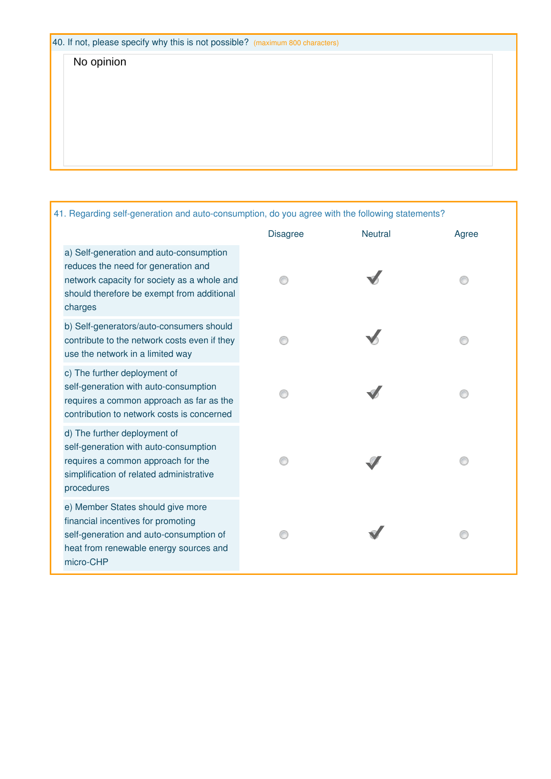# No opinion

41. Regarding self-generation and auto-consumption, do you agree with the following statements?

|                                                                                                                                                                                        | <b>Disagree</b> | <b>Neutral</b> | Agree |
|----------------------------------------------------------------------------------------------------------------------------------------------------------------------------------------|-----------------|----------------|-------|
| a) Self-generation and auto-consumption<br>reduces the need for generation and<br>network capacity for society as a whole and<br>should therefore be exempt from additional<br>charges |                 |                |       |
| b) Self-generators/auto-consumers should<br>contribute to the network costs even if they<br>use the network in a limited way                                                           |                 |                |       |
| c) The further deployment of<br>self-generation with auto-consumption<br>requires a common approach as far as the<br>contribution to network costs is concerned                        |                 |                |       |
| d) The further deployment of<br>self-generation with auto-consumption<br>requires a common approach for the<br>simplification of related administrative<br>procedures                  |                 |                |       |
| e) Member States should give more<br>financial incentives for promoting<br>self-generation and auto-consumption of<br>heat from renewable energy sources and<br>micro-CHP              |                 |                |       |